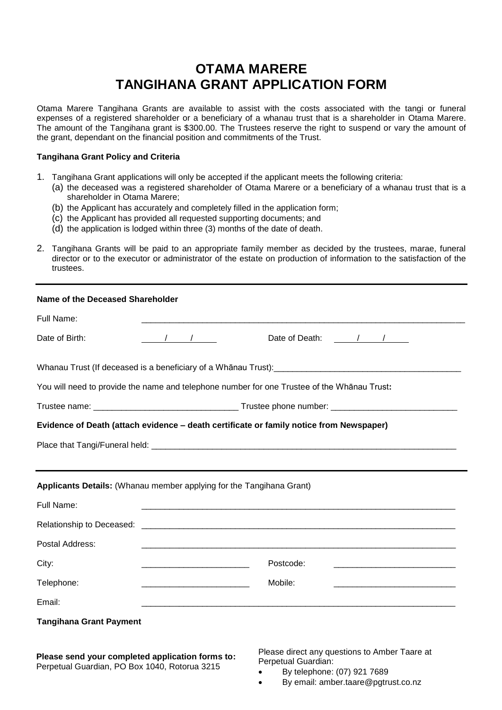# **OTAMA MARERE TANGIHANA GRANT APPLICATION FORM**

Otama Marere Tangihana Grants are available to assist with the costs associated with the tangi or funeral expenses of a registered shareholder or a beneficiary of a whanau trust that is a shareholder in Otama Marere. The amount of the Tangihana grant is \$300.00. The Trustees reserve the right to suspend or vary the amount of the grant, dependant on the financial position and commitments of the Trust.

# **Tangihana Grant Policy and Criteria**

- 1. Tangihana Grant applications will only be accepted if the applicant meets the following criteria:
	- (a) the deceased was a registered shareholder of Otama Marere or a beneficiary of a whanau trust that is a shareholder in Otama Marere;
	- (b) the Applicant has accurately and completely filled in the application form;
	- (c) the Applicant has provided all requested supporting documents; and
	- (d) the application is lodged within three (3) months of the date of death.
- 2. Tangihana Grants will be paid to an appropriate family member as decided by the trustees, marae, funeral director or to the executor or administrator of the estate on production of information to the satisfaction of the trustees.

| Name of the Deceased Shareholder                                                                               |                                                                    |                                                           |  |  |
|----------------------------------------------------------------------------------------------------------------|--------------------------------------------------------------------|-----------------------------------------------------------|--|--|
| Full Name:                                                                                                     |                                                                    |                                                           |  |  |
| Date of Birth:                                                                                                 | $\sqrt{2}$                                                         | Date of Death: / /                                        |  |  |
| Whanau Trust (If deceased is a beneficiary of a Whānau Trust): [19] Decree Concentration of the Section of the |                                                                    |                                                           |  |  |
| You will need to provide the name and telephone number for one Trustee of the Whānau Trust:                    |                                                                    |                                                           |  |  |
|                                                                                                                |                                                                    |                                                           |  |  |
| Evidence of Death (attach evidence - death certificate or family notice from Newspaper)                        |                                                                    |                                                           |  |  |
|                                                                                                                |                                                                    |                                                           |  |  |
|                                                                                                                |                                                                    |                                                           |  |  |
| Applicants Details: (Whanau member applying for the Tangihana Grant)                                           |                                                                    |                                                           |  |  |
| Full Name:                                                                                                     |                                                                    |                                                           |  |  |
| Relationship to Deceased:                                                                                      |                                                                    |                                                           |  |  |
| Postal Address:                                                                                                |                                                                    |                                                           |  |  |
| City:                                                                                                          | <u> 1980 - Jan James James Barnett, fransk politik (d. 1980)</u>   | Postcode:                                                 |  |  |
| Telephone:                                                                                                     | <u> 1980 - Johann Barbara, martin da kasar Amerikaansk filosof</u> | Mobile:                                                   |  |  |
| Email:                                                                                                         |                                                                    | <u> 1980 - John Stone, Amerikaansk politiker (* 1980)</u> |  |  |
| <b>Tangihana Grant Payment</b>                                                                                 |                                                                    |                                                           |  |  |
|                                                                                                                |                                                                    |                                                           |  |  |

**Please send your completed application forms to:** Perpetual Guardian, PO Box 1040, Rotorua 3215

Please direct any questions to Amber Taare at Perpetual Guardian:

- By telephone: (07) 921 7689
- By email: amber.taare@pgtrust.co.nz